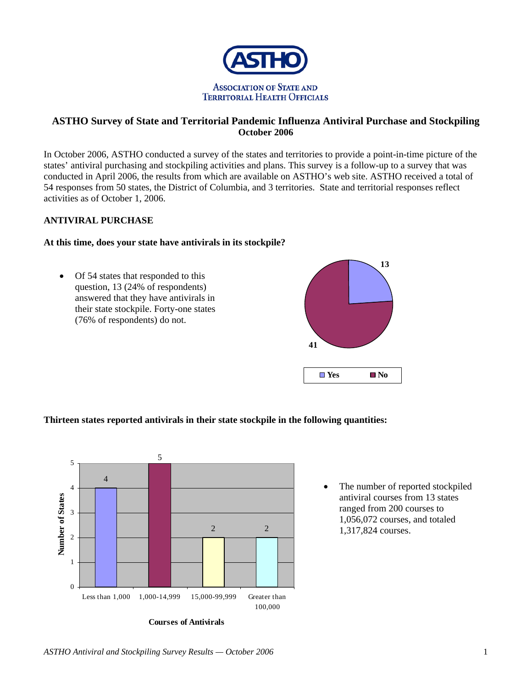

# **ASTHO Survey of State and Territorial Pandemic Influenza Antiviral Purchase and Stockpiling October 2006**

In October 2006, ASTHO conducted a survey of the states and territories to provide a point-in-time picture of the states' antiviral purchasing and stockpiling activities and plans. This survey is a follow-up to a survey that was conducted in April 2006, the results from which are available on ASTHO's web site. ASTHO received a total of 54 responses from 50 states, the District of Columbia, and 3 territories. State and territorial responses reflect activities as of October 1, 2006.

## **ANTIVIRAL PURCHASE**

### **At this time, does your state have antivirals in its stockpile?**

• Of 54 states that responded to this question, 13 (24% of respondents) answered that they have antivirals in their state stockpile. Forty-one states (76% of respondents) do not.



**Thirteen states reported antivirals in their state stockpile in the following quantities:** 



**Courses of Antivirals**

• The number of reported stockpiled antiviral courses from 13 states ranged from 200 courses to 1,056,072 courses, and totaled 1,317,824 courses.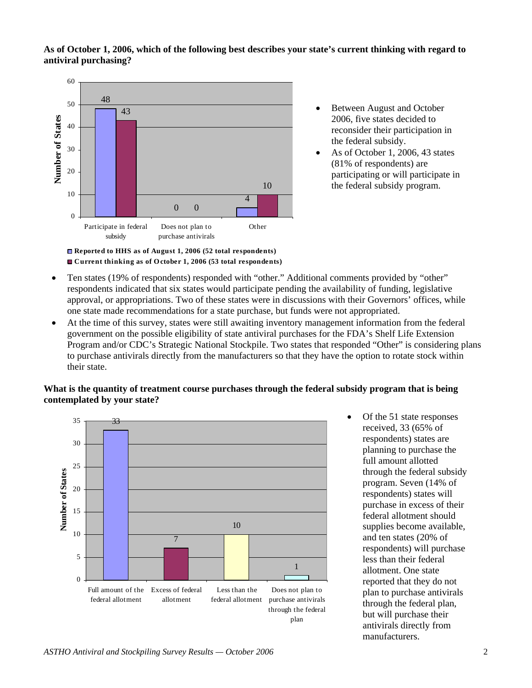#### **As of October 1, 2006, which of the following best describes your state's current thinking with regard to antiviral purchasing?**



**Current thinking as of O ctober 1, 2006 (53 total respondents)**

- Between August and October 2006, five states decided to reconsider their participation in the federal subsidy.
- As of October 1, 2006, 43 states (81% of respondents) are participating or will participate in the federal subsidy program.

- Ten states (19% of respondents) responded with "other." Additional comments provided by "other" respondents indicated that six states would participate pending the availability of funding, legislative approval, or appropriations. Two of these states were in discussions with their Governors' offices, while one state made recommendations for a state purchase, but funds were not appropriated.
- At the time of this survey, states were still awaiting inventory management information from the federal government on the possible eligibility of state antiviral purchases for the FDA's Shelf Life Extension Program and/or CDC's Strategic National Stockpile. Two states that responded "Other" is considering plans to purchase antivirals directly from the manufacturers so that they have the option to rotate stock within their state.

## **What is the quantity of treatment course purchases through the federal subsidy program that is being contemplated by your state?**



• Of the 51 state responses received, 33 (65% of respondents) states are planning to purchase the full amount allotted through the federal subsidy program. Seven (14% of respondents) states will purchase in excess of their federal allotment should supplies become available, and ten states (20% of respondents) will purchase less than their federal allotment. One state reported that they do not plan to purchase antivirals through the federal plan, but will purchase their antivirals directly from manufacturers.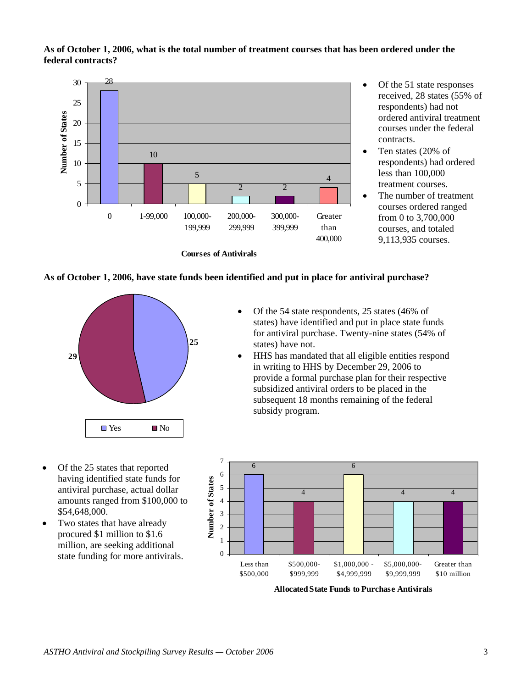#### **As of October 1, 2006, what is the total number of treatment courses that has been ordered under the federal contracts?**



- Of the 51 state responses received, 28 states (55% of respondents) had not ordered antiviral treatment courses under the federal contracts.
- Ten states (20% of respondents) had ordered less than 100,000 treatment courses.
- The number of treatment courses ordered ranged from 0 to 3,700,000 courses, and totaled 9,113,935 courses.

#### **As of October 1, 2006, have state funds been identified and put in place for antiviral purchase?**



- Of the 54 state respondents, 25 states (46% of states) have identified and put in place state funds for antiviral purchase. Twenty-nine states (54% of states) have not.
- HHS has mandated that all eligible entities respond in writing to HHS by December 29, 2006 to provide a formal purchase plan for their respective subsidized antiviral orders to be placed in the subsequent 18 months remaining of the federal subsidy program.
- Of the 25 states that reported having identified state funds for antiviral purchase, actual dollar amounts ranged from \$100,000 to \$54,648,000.
- Two states that have already procured \$1 million to \$1.6 million, are seeking additional state funding for more antivirals.



**Allocated State Funds to Purchase Antivirals**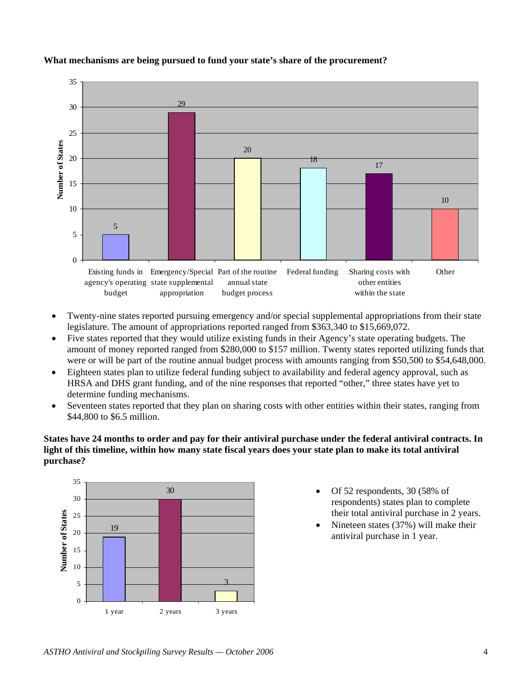

### **What mechanisms are being pursued to fund your state's share of the procurement?**

- Twenty-nine states reported pursuing emergency and/or special supplemental appropriations from their state legislature. The amount of appropriations reported ranged from \$363,340 to \$15,669,072.
- Five states reported that they would utilize existing funds in their Agency's state operating budgets. The amount of money reported ranged from \$280,000 to \$157 million. Twenty states reported utilizing funds that were or will be part of the routine annual budget process with amounts ranging from \$50,500 to \$54,648,000.
- Eighteen states plan to utilize federal funding subject to availability and federal agency approval, such as HRSA and DHS grant funding, and of the nine responses that reported "other," three states have yet to determine funding mechanisms.
- Seventeen states reported that they plan on sharing costs with other entities within their states, ranging from \$44,800 to \$6.5 million.

**States have 24 months to order and pay for their antiviral purchase under the federal antiviral contracts. In light of this timeline, within how many state fiscal years does your state plan to make its total antiviral purchase?** 



- Of 52 respondents, 30 (58% of respondents) states plan to complete their total antiviral purchase in 2 years.
- Nineteen states (37%) will make their antiviral purchase in 1 year.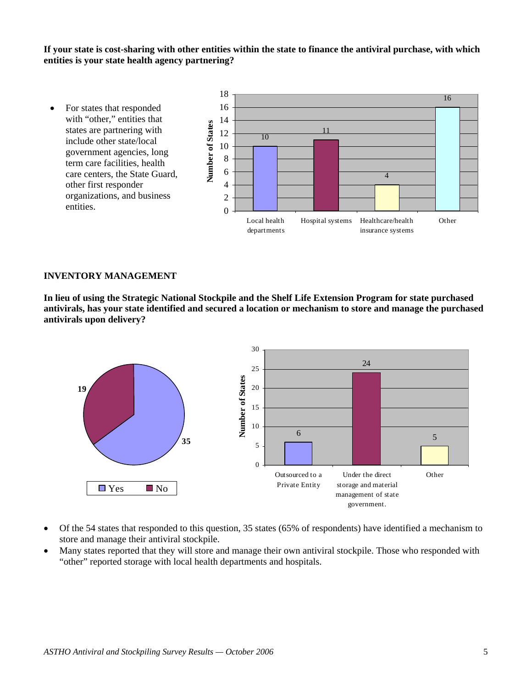**If your state is cost-sharing with other entities within the state to finance the antiviral purchase, with which entities is your state health agency partnering?** 



#### **INVENTORY MANAGEMENT**

**In lieu of using the Strategic National Stockpile and the Shelf Life Extension Program for state purchased antivirals, has your state identified and secured a location or mechanism to store and manage the purchased antivirals upon delivery?** 



- Of the 54 states that responded to this question, 35 states (65% of respondents) have identified a mechanism to store and manage their antiviral stockpile.
- Many states reported that they will store and manage their own antiviral stockpile. Those who responded with "other" reported storage with local health departments and hospitals.